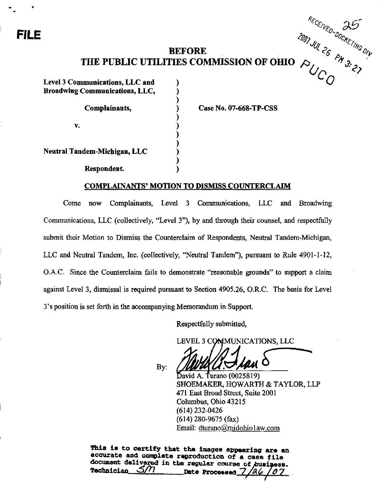# FILE  $\alpha_0$

# **BEFORE** THE PUBLIC UTILITIES COMMISSION OF OHIO  $\beta$ , '"

℩

Level 3 Communications, LLC and Broadwing Communications, LLC,

Complainants,

V.

Neutral Tandem-Michigan, LLC

Respondent.

Case No. 07-668-TP-CSS

 $e_{\mathcal{E}_{\mathcal{U}_{\mathcal{K}_{O_{\gamma_{n}}}}}}$ 25  $\omega_{\cal C}$ 

 $c_{\mathcal{H}_{\mathcal{E} \mathcal{F}}}$ 

• %

 $\gamma$ 

 $\mathcal{C}_{\mathcal{U}}$ 

<%

 $\omega_{C_{\scriptscriptstyle O}}$   $^{\prime\prime}$  s.

# COMPLAINANTS' MOTION TO DISMISS COUNTERCLAIM

Come now Complainants, Level 3 Communications, LLC and Broadwing Communications, LLC (collectively, "Level 3"), by and through their counsel, and respectfully submit their Motion to Dismiss the Counterclaim of Respondents, Neutral Tandem-Michigan, LLC and Neutral Tandem, Inc. (collectively, "Neutral Tandem"), pursuant to Rule 4901-1-12, O.A.C. Since the Counterclaim fails to demonstrate "reasonable grounds" to support a claim against Level 3, dismissal is required pursuant to Section 4905.26, O.R.C. The basis for Level 3\*s position is set forth in the accompanying Memorandum in Support.

Respectfully submitted,

LEVEL 3 CCMMUNICATIONS, LLC

By:

 $\Delta$ avid A. Turano (0025819) SHOEMAKER, HOWARTH & TAYLOR, LLP 471 East Broad Street, Suite 2001 Columbus, Ohio 43215 (614)232-0426 (614) 280-9675 (fax) Email: dturano@midohio1aw.com

This is to certify that the images appearing are an accurate and complete reproduction of a case file document delivered in the regular course of business.<br>Technician  $\mathcal{S}/n$  nete Processed 7/26/07 Date Processed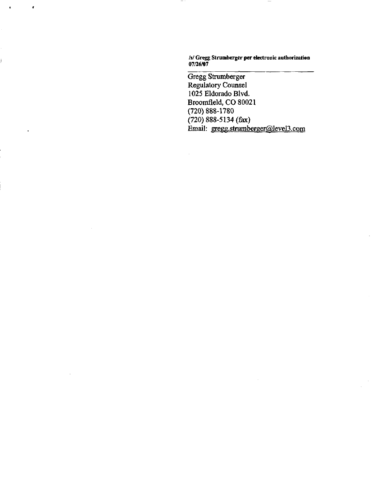/s/ Gregg Strumberger per electronic autborization 07/26/07

 $\qquad \qquad -$ 

Ŷ.

**r** 

 $\mathbf{r}$ 

Gregg Strumberger Regulatory Counsel 1025 Eldorado Blvd. Broomfleld, CO 80021 (720)888-1780 (720) 888-5134 (fax) Email: [gregg.strumberger@lcvel3.com](mailto:gregg.strumberger@lcvel3.com)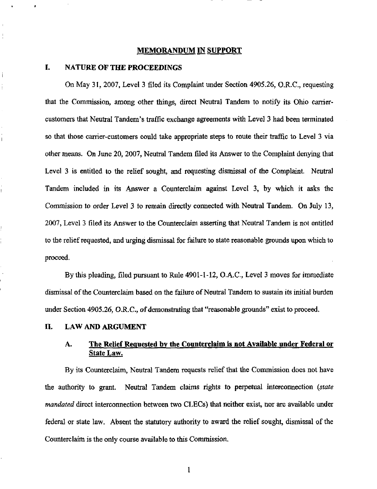### MEMORANDUM IN SUPPORT

### L NATURE OF THE PROCEEDINGS

Î

İ

On May 31, 2007, Level 3 filed its Complaint under Section 4905.26, O.R.C, requesting that the Commission, among other things, direct Neutral Tandem to notify its Ohio carriercustomers that Neutral Tandem \*s traffic exchange agreements with Level 3 had been terminated so that those carrier-customers could take appropriate steps to route their traffic to Level 3 via other means. On Jime 20, 2007, Neutral Tandem filed its Answer to the Complaint denying that Level 3 is entitled to the relief sought, and requesting dismissal of the Complaint. Neutral Tandem included in its Answer a Counterclaim against Level 3, by which it asks the Commission to order Level 3 to remain directiy connected with Neutral Tandem. On July 13, 2007, Level 3 filed its Answer to the Counterclaim asserting that Neutral Tandem is not entitled to the relief requested, and urging dismissal for failure to state reasonable grounds upon which to proceed.

By this pleading, filed pursuant to Rule 4901-1-12, O.A.C, Level 3 moves for immediate dismissal of the Counterclaim based on the failure of Neutral Tandem to sustain its initial burden under Section 4905.26, O.R.C, of demonstrating that "reasonable grounds" exist to proceed.

# II. LAW AND ARGUMENT

# A. The Relief Requested by the Counterclaim is not Available under Federal or State Law.

By its Counterclaim, Neutral Tandem requests relief that the Commission does not have the authority to grant. Neutral Tandem claims rights to perpetual interconnection (state mandated direct interconnection between two CLECs) that neither exist, nor are available under federal or state law. Absent the statutory authority to award the relief sought, dismissal of the Counterclaim is the only course available to this Commission,

1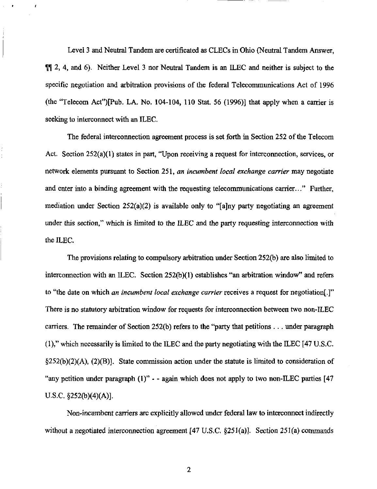Level 3 and Neutral Tandem are certificated as CLECs in Ohio (Neutral Tandem Answer,  $\P$ [ $\uparrow$  2, 4, and 6). Neither Level 3 nor Neutral Tandem is an ILEC and neither is subject to the specific negotiation and arbitration provisions of the federal Telecommunications Act of 1996 (the "Telecom Act")[Pub. LA. No. 104-104, 110 Stat. 56 (1996)] that apply when a carrier is seeking to interconnect with an ILEC.

The federal interconnection agreement process is set forth in Section 252 of the Telecom Act. Section 252(a)(1) states in part, "Upon receiving a request for interconnection, services, or network elements pursuant to Section 251, an incumbent local exchange carrier may negotiate and enter into a binding agreement with the requesting telecommunications carrier..." Further, mediation under Section 252(a)(2) is available only to "[a]ny party negotiating an agreement under this section," which is limited to the ILEC and the party requesting interconnection with the ILEC.

The provisions relating to compulsory arbitration under Section 252(b) are also limited to interconnection with an ILEC. Section 252(b)(1) establishes "an arbitration window" and refers to "the date on which an incumbent local exchange carrier receives a request for negotiation[.]" There is no statutory arbitration window for requests for interconnection between two non-ILEC carriers. The remainder of Section 252(b) refers to the "party that petitions .. . under paragraph (1)," which necessarily is limited to the ILEC and the party negotiating with the ILEC [47 U.S.C  $\S252(b)(2)(A)$ ,  $\S2(B)$ ]. State commission action under the statute is limited to consideration of "any petition under paragraph  $(1)$ " - - again which does not apply to two non-ILEC parties [47] U.S.C §252(b)(4)(A)].

Non-incumbent carriers are explicitly allowed under federal law to interconnect indirectly without a negotiated interconnection agreement [47 U.S.C. §251(a)]. Section 251(a) commands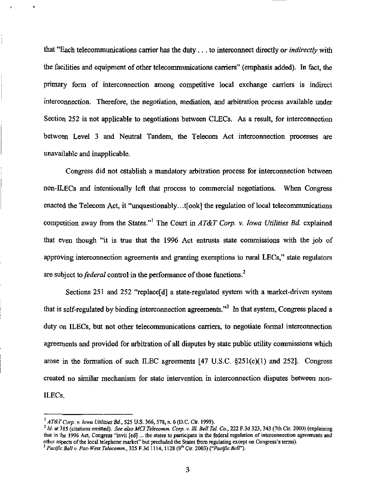that "Each telecommunications carrier has the duty... to interconnect directly or *indirectly* with the facilities and equipment of other telecommunications carriers" (emphasis added). In fact, the primary form of interconnection among competitive local exchange carriers is indirect interconnection. Therefore, the negotiation, mediation, and arbitration process available under Section 252 is not applicable to negotiations between CLECs. As a result, for interconnection between Level 3 and Neutral Tandem, the Telecom Act interconnection processes are unavailable and inapplicable.

Congress did not establish a mandatory arbitration process for interconnection between non-ILECs and intentionally left that process to commercial negotiations. When Congress enacted the Telecom Act, it "unquestionably...t[ook] the regulation of local telecommunications competition away from the States."<sup>1</sup> The Court in AT&T Corp. v. Iowa Utilities Bd. explained that even though "it is tme that the 1996 Act entmsts state commissions with the job of approving interconnection agreements and granting exemptions to rural LECs," state regulators are subject to *federal* control in the performance of those functions.<sup>2</sup>

Sections 251 and 252 "replace[d] a state-regulated system with a market-driven system that is self-regulated by binding interconnection agreements."<sup>3</sup> In that system, Congress placed a duty on ILECs, but not other telecommunications carriers, to negotiate formal interconnection agreements and provided for arbitration of all disputes by state public utility commissions which arose in the formation of such ILEC agreements  $[47 \text{ U.S.C. } §251(c)(1)$  and  $252$ ]. Congress created no similar mechanism for state intervention in interconnection disputes between non-ILECs.

 $^{1}$  AT&T Corp. v. Iowa Utilities Bd., 525 U.S. 366, 378, n. 6 (D.C. Cir. 1999).

 $^{2}$  Id. at 385 (citations omitted). See also MCI Telecomm. Corp. v. Ill. Bell Tel. Co., 222 F.3d 323, 343 (7th Cir. 2000) (explaining that in the 1996 Act, Congress "invit [ed]... the states to participate in the federal regulation of interconnection agreements and other aspects of the local telephone market" but precluded the States from regulating except on Congress's terms).

<sup>&</sup>lt;sup>3</sup> Pacific Bell v. Pac-West Telecomm., 325 F.3d 1114, 1128 (9<sup>th</sup> Cir. 2003) ("Pacific Bell").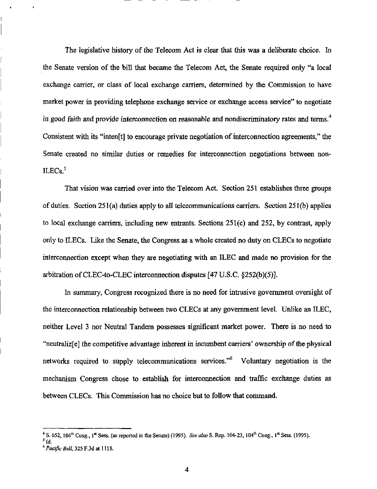The legislative history of the Telecom Act is clear that this was a deliberate choice. In the Senate version of the bill that became the Telecom Act, the Senate required only "a local exchange carrier, or class of local exchange carriers, determined by the Commission to have market power in providing telephone exchange service or exchange access service" to negotiate in good faith and provide interconnection on reasonable and nondiscriminatory rates and terms.<sup>4</sup> Consistent with its "inten[t] to encourage private negotiation of interconnection agreements," the Senate created no similar duties or remedies for interconnection negotiations between non- $ILECs.<sup>5</sup>$ 

That vision was carried over into the Telecom Act. Section 251 establishes three groups of duties. Section 251(a) duties apply to all telecommunications carriers. Section 251(b) applies to local exchange carriers, including new entrants. Sections  $251(c)$  and  $252$ , by contrast, apply only to ILECs. Like the Senate, the Congress as a whole created no duty on CLECs to negotiate interconnection except when they are negotiating with an ILEC and made no provision for the arbitration of CLEC-to-CLEC interconnection disputes [47 U.S.C §252(b)(5)].

In summary, Congress recognized there is no need for intmsive government oversight of the interconnection relationship between two CLECs at any government level. Unlike an ILEC, neither Level 3 nor Neutral Tandem possesses significant market power. There is no need to "neutraliz[e] the competitive advantage inherent in incumbent carriers' ownership of the physical networks required to supply telecommunications services."<sup>6</sup> Voluntary negotiation is the mechanism Congress chose to establish for interconnection and traffic exchange duties as between CLECs. This Commission has no choice but to follow that command.

<sup>&</sup>lt;sup>4</sup> S. 652, 104<sup>th</sup> Cong., 1<sup>st</sup> Sess. (as reported in the Senate) (1995). See also S. Rep. 104-23, 104<sup>th</sup> Cong., 1<sup>st</sup> Sess. (1995).

 $\cdot$  Id.

 $^{\circ}$  *Pacific Bell*, 325 F.3d at  $1118.$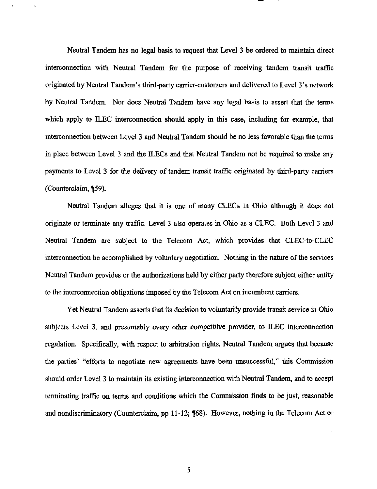Neutral Tandem has no legal basis to request that Level 3 be ordered to maintain direct interconnection with Neutral Tandem for the purpose of receiving tandem transit traffic originated by Neutral Tandem's third-party carrier-customers and delivered to Level 3's network by Neutral Tandem. Nor does Neutral Tandem have any legal basis to assert that the terms which apply to ILEC interconnection should apply in this case, including for example, that interconnection between Level 3 and Neutral Tandem should be no less favorable than the terms in place between Level 3 and the ILECs and that Neutral Tandem not be required to make any payments to Level 3 for the delivery of tandem transit traffic originated by third-party carriers (Counterclaim, ¶59).

Neutral Tandem alleges tbat it is one of many CLECs in Ohio although it does not originate or terminate any traffic. Level 3 also operates in Ohio as a CLEC. Both Level 3 and Neutral Tandem are subject to the Telecom Act, which provides that CLEC-to-CLEC interconnection be accomplished by voluntary negotiation. Nothing in the nature of the services Neutral Tandem provides or the authorizations held by either party therefore subject either entity to the interconnection obligations imposed by the Telecom Act on incumbent carriers.

Yet Neutral Tandem asserts that its decision to voluntarily provide transit service in Ohio subjects Level 3, and presumably every other competitive provider, to ILEC interconnection regulation. Specifically, with respect to arbitration rights, Neutral Tandem argues that because the parties' "efforts to negotiate new agreements have been unsuccessful," this Commission should order Level 3 to maintain its existing interconnection with Neutral Tandem, and to accept terminating traffic on terms and conditions which the Commission finds to be just, reasonable and nondiscriminatory (Counterclaim, pp 11-12; [68). However, nothing in the Telecom Act or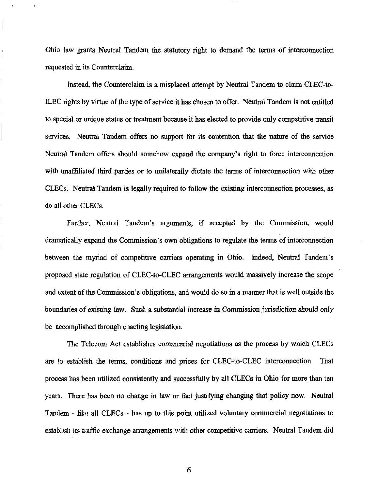Ohio law grants Neutral Tandem the statutory right to demand the terms of interconnection requested in its Counterclaim.

ł.

Instead, the Counterclaim is a misplaced attempt by Neutral Tandem to claim CLEC-to-ILEC rights by virtue of the type of service it has chosen to offer. Neutral Tandem is not entitled to special or unique status or treatment because it has elected to provide only competitive transit services. Neutral Tandem offers no support for its contention that the nature of the service Neutral Tandem offers should somehow expand the company's right to force interconnection with unaffiliated third parties or to unilaterally dictate the terms of mterconnection with other CLECs. Neutral Tandem is legally required to follow the existing interconnection processes, as do all other CLECs.

Further, Neutral Tandem's arguments, if accepted by the Commission, would dramatically expand the Commission's own obligations to regulate the terms of interconnection between the myriad of competitive carriers operating in Ohio. Indeed, Neutral Tandem's proposed state regulation of CLEC-to-CLEC arrangements would massively increase the scope and extent of the Commission's obligations, and would do so in a manner that is well outside the boundaries of existing law. Such a substantial increase in Commission jurisdiction should only be accomplished through enacting legislation.

The Telecom Act establishes commercial negotiations as the process by which CLECs are to establish the terms, conditions and prices for CLEC-to-CLEC interconnection. That process has been utilized consistently and successfully by all CLECs in Ohio for more than ten years. There has been no change in law or fact justifying changing that policy now. Neutral Tandem - like all CLECs - has up to this point utilized voluntary commercial negotiations to establish its traffic exchange arrangements with other competitive carriers. Neutral Tandem did

6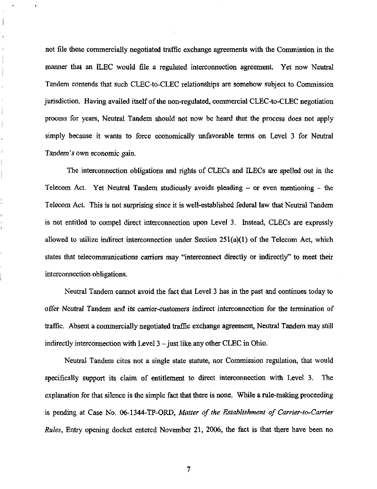not file these commercially negotiated traffic exchange agreements with the Commission in the manner that an ILEC would file a regulated interconnection agreement. Yet now Neutral Tandem contends that such CLEC-to-CLEC relationships are somehow subject to Commission jurisdiction. Having availed itself of the non-regulated, commercial CLEC-to-CLEC negotiation process for years, Neutral Tandem should not now be heard that the process does not apply simply because it wants to force economically unfavorable terms on Level 3 for Neutral Tandem's own economic gain.

í. Ť

 $\begin{array}{c} \hline \end{array}$ 

ł.

The interconnection obfigations and rights of CLECs and ILECs are spelled out in the Telecom Act. Yet Neutral Tandem studiously avoids pleading - or even mentioning - the Telecom Act. This is not surprising since it is well-established federal law that Neutral Tandem is not entitled to compel direct interconnection upon Level 3. Instead, CLECs are expressly allowed to utilize indirect interconnection under Section 251(a)(1) of the Telecom Act, which states that telecommunications carriers may "interconnect directly or indirectly" to meet their interconnection obligations.

Neutral Tandem cannot avoid the fact that Level 3 has in the past and continues today to offer Neutral Tandem and its carrier-customers indirect interconnection for the termination of traffic. Absent a commercially negotiated traffic exchange agreement, Neutral Tandem may still indirectly interconnection with Level  $3$  – just like any other CLEC in Ohio.

Neutral Tandem cites not a single state statute, nor Commission regulation, that would specifically support its claim of entitlement to direct interconnection with Level 3. The explanation for that silence is the simple fact that there is none. While a rule-making proceeding is pending at Case No. 06-1344-TP-ORD, Matter of the Establishment of Carrier-to-Carrier Rules, Entry opening docket entered November 21, 2006, the fact is that there have been no

 $\overline{7}$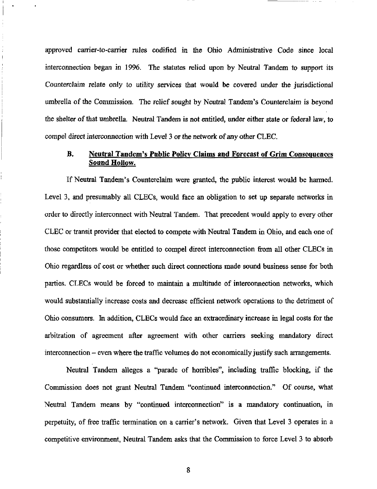approved carrier-to-carrier rules codified in the Ohio Administrative Code since local interconnection began in 1996. The statutes relied upon by Neutral Tandem to support its Counterclaim relate only to utihty services that would be covered under the jurisdictional umbrella of the Commission. The relief sought by Neutral Tandem's Counterclaim is beyond the shelter of that umbrella. Neutral Tandem is not entitled, under either state or federal law, to compel direct interconnection with Level 3 or the network of any other CLEC

# B. Neutral Tandem's Public Policy Claims and Forecast of Grim Consequences Sound Hollow.

If Neutral Tandem's Counterclaim were granted, the public interest would be harmed. Level 3, and presumably all CLECs, would face an obligation to set up separate networks in order to directly interconnect with Neutral Tandem. That precedent would apply to every other CLEC or transit provider that elected to compete with Neutral Tandem in Ohio, and each one of those competitors would be entitled to compel direct interconnection from all other CLECs in Ohio regardless of cost or whether such direct connections made sound business sense for both parties. CLECs would be forced to maintain a multitude of interconnection networks, which would substantially increase costs and decrease efficient network operations to the detriment of Ohio consumers. In addition, CLECs would face an extraordinary increase in legal costs for the arbitration of agreement after agreement with other carriers seeking mandatory direct interconnection - even where the traffic volumes do not economically justify such arrangements.

Neutral Tandem alleges a "parade of horribles", including traffic blocking, if the Commission does not grant Neutral Tandem "continued interconnection." Of course, what Neutral Tandem means by "continued interconnection" is a mandatory continuation, in perpetuity, of free traffic termination on a carrier's network. Given that Level 3 operates in a competitive environment, Neutral Tandem asks that the Commission to force Level 3 to absorb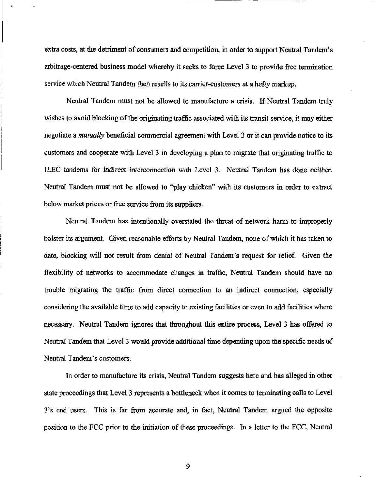extra costs, at the detriment of consumers and competition, in order to support Neutral Tandem's arbitrage-centered business model whereby it seeks to force Level 3 to provide free tennination service which Neutral Tandem then resells to its carrier-customers at a hefty markup.

Neutral Tandem must not be allowed to manufacture a crisis. If Neutral Tandem truly wishes to avoid blocking of the originating traffic associated with its transit service, it may either negotiate a *mutually* beneficial commercial agreement with Level 3 or it can provide notice to its customers and cooperate with Level 3 in developing a plan to migrate that originating traffic to ILEC tandems for indirect interconnection with Level 3. Neutral Tandem has done neither. Neutral Tandem must not be allowed to "play chicken" with its customers in order to extract below market prices or free service from its suppliers.

Neutral Tandem has intentionally overstated the threat of network harm to improperly bolster its argument. Given reasonable efforts by Neutral Tandem, none of which it has taken to date, blocking will not result from denial of Neutral Tandem's request for relief. Given the flexibility of networks to accommodate changes in traffic. Neutral Tandem should have no trouble migrating the traffic from direct connection to an indirect connection, especially considering the available time to add capacity to existing facilities or even to add facilities where necessary. Neutral Tandem ignores that throughout this entire process. Level 3 has offered to Neutral Tandem that Level 3 would provide additional time depending upon the specific needs of Neutral Tandem's customers.

In order to manufacture its crisis, Neutral Tandem suggests here and has alleged in other state proceedings that Level 3 represents a bottleneck when it comes to terminating calls to Level 3's end users. This is far from accurate and, in fact, Neutral Tandem argued the opposite position to the FCC prior to the initiation of these proceedings. In a letter to the FCC, Neutral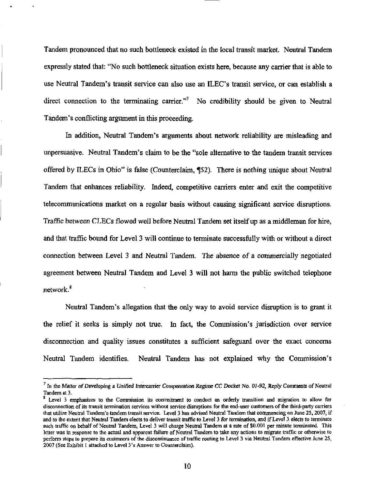Tandem pronounced that no such bottleneck existed in the local transit market. Neutral Tandem expressly stated that: "No such bottleneck situation exists here, because any carrier that is able to use Neutral Tandem's transit service can also use an ILEC's transit service, or can establish a direct connection to the terminating carrier."<sup>7</sup> No credibility should be given to Neutral Tandem's conflicting argument in this proceeding.

In addition, Neutral Tandem's arguments about network reliability are misleading and unpersuasive. Neutral Tandem's claim to be the "sole altemative to the tandem transit services offered by ILECs in Ohio" is false (Counterclaim, ¶52). There is nothing unique about Neutral Tandem that enhances reliability. Indeed, competitive carriers enter and exit the competitive telecommunications market on a regular basis without causing significant service disruptions. Traffic between CLECs flowed well before Neutral Tandem set itself up as a middleman for hire, and that traffic bound for Level 3 will continue to terminate successfully with or without a direct connection between Level 3 and Neutral Tandem. The absence of a commercially negotiated agreement between Neutral Tandem and Level 3 will not harm the public switched telephone network.<sup>8</sup>

Neutral Tandem's allegation that the only way to avoid service disruption is to grant it the relief it seeks is simply not true. In fact, the Commission's jurisdiction over service disconnection and quality issues constitutes a sufficient safeguard over the exact concems Neutral Tandem identifies. Neutral Tandem has not explained why the Commission's

 $^7$  In the Matter of Developing a Unified Intercarrier Compensation Regime CC Docket No. 01-92, Reply Comments of Neutral Tandem at 3.

 $<sup>8</sup>$  Level 3 emphasizes to the Commission its commitment to conduct an orderly transition and migration to allow for</sup> disconnection of its transit termination services without service disruptions for the end-user customers of the third-party carriers that utilize Neutral Tandem's tandem transit service. Level 3 has advised Neutral Tandem that commencing on June 25,2007, if and to the extent that Neutral Tandem elects to deliver transit traffic to Level 3 for termination, and if Level 3 elects to terminate such traffic on behalf of Neutral Tandem, Level 3 will charge Neutral Tandem at a rate of \$0,001 per minute terminated. This letter was in response to the actual and apparent failure of Neutral Tandem to take any actions to migrate traffic or otherwise to perform steps to prepare its customers of the discontinuance of traffic routing to Level 3 via Neutral Tandem effective June 25, 2007 (See Exhibit I attached to Level 3's Answer to Counterclaim).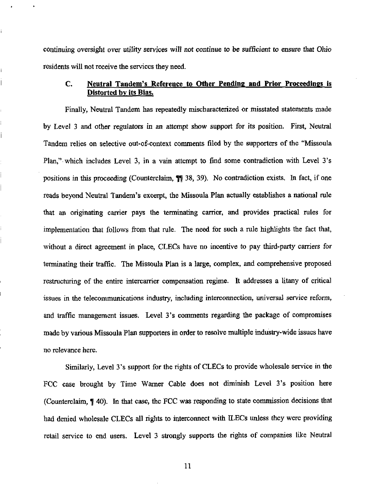continuing oversight over utility services will not continue to be sufficient to ensure that Ohio residents will not receive the services they need.

# C. Neutral Tandem's Reference to Other Pending and Prior Proceedings is Distorted by its Bias,

Finally, Neutral Tandem has repeatedly mischaracterized or misstated statements made by Level 3 and other regulators in an attempt show support for its position- First, Neutral Tandem relies on selective out-of-context comments filed by the supporters of the "Missoula" Plan," which includes Level 3, in a vain attempt to find some contradiction with Level 3's positions in this proceeding (Counterclaim,  $\P$  38, 39). No contradiction exists. In fact, if one reads beyond Neutral Tandem's excerpt, the Missoula Plan actually establishes a national mle that an originating carrier pays the terminating carrier, and provides practical rules for implementation that follows from that mle. The need for such a mle highlights the fact that, without a direct agreement in place, CLECs have no incentive to pay third-party carriers for terminating their traffic. The Missoula Plan is a large, complex, and comprehensive proposed restmcturing of the entire intercarrier compensation regime. It addresses a litany of critical issues in the telecommunications industry, including interconnection, universal service reform, and traffic management issues. Level 3's comments regarding the package of compromises made by various Missoula Plan supporters in order to resolve multiple industry-wide issues have no relevance here.

Similarly, Level 3's support for the rights of CLECs to provide wholesale service in the FCC case brought by Time Warner Cable does not diminish Level 3's position here (Counterclaim, 140). In that case, the FCC was responding to state commission decisions that had denied wholesale CLECs all rights to interconnect with ILECs unless they were providing retail service to end users. Level 3 strongly supports the rights of companies like Neutral

11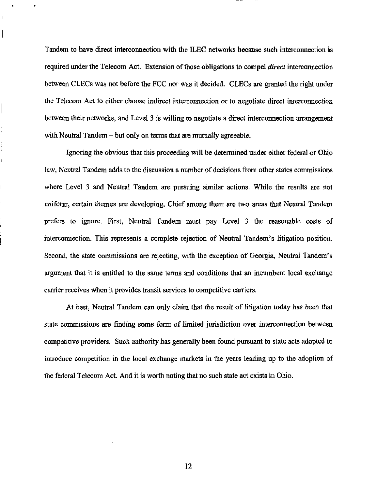Tandem to have direct interconnection with the ILEC networks because such interconnection is required under the Telecom Act. Extension of those obligations to compel *direct* interconnection between CLECs was not before the FCC nor was it decided. CLECs are granted the right under the Telecom Act to either choose indirect interconnection or to negotiate direct interconnection between their networks, and Level 3 is wilting to negotiate a direct interconnection arrangement with Neutral Tandem – but only on terms that are mutually agreeable.

Î

Ignoring the obvious that this proceeding will be determined under either federal or Ohio law, Neutral Tandem adds to the discussion a number of decisions from other states commissions where Level 3 and Neutral Tandem are pursuing similar actions. While the results are not uniform, certain themes are developing. Chief among them are two areas that Neutral Tandem prefers to ignore. First, Neutral Tandem must pay Level 3 the reasonable costs of interconnection. This represents a complete rejection of Neutral Tandem's litigation position. Second, the state commissions are rejecting, with the exception of Georgia, Neutral Tandem's argument that it is entitled to the same terms and conditions that an incumbent local exchange carrier receives when it provides transit services to competitive carriers.

At best, Neutral Tandem can only claim that the result of litigation today has been that state commissions are finding some form of limited jurisdiction over interconnection between competitive providers. Such authority has generally been found pursuant to state acts adopted to introduce competition in the local exchange markets in the years leading up to the adoption of the federal Telecom Act. And it is worth noting that no such state act exists in Ohio.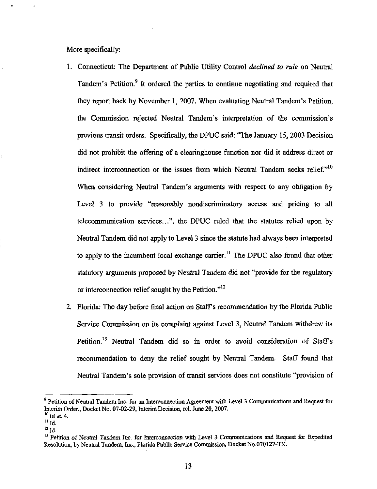More specifically:

- 1. Connecticut: The Department of Public Utility Control declined to rule on Neutral Tandem's Petition.<sup>9</sup> It ordered the parties to continue negotiating and required that they report back by November 1, 2007, When evaluating Neutral Tandem's Petition, the Commission rejected Neutral Tandem's interpretation of the commission's previous transit orders. Specifically, the DPUC said: "The January 15,2003 Decision did not prohibit the offering of a clearinghouse fimction nor did it address direct or indirect interconnection or the issues from which Neutral Tandem seeks relief. $"^{10}$ When considering Neutral Tandem's arguments with respect to any obligation by Level 3 to provide "reasonably nondiscriminatory access and pricing to all telecommunication services...", the DPUC mled that the statutes relied upon by Neutral Tandem did not apply to Level 3 since the statute had always been interpreted to apply to the incumbent local exchange carrier.<sup>11</sup> The DPUC also found that other statutory arguments proposed by Neutral Tandem did not "provide for the regulatory or interconnection relief sought by the Petition."<sup>12</sup>
- 2. Florida: The day before final action on Staffs recommendation by the Florida Pubhc Service Commission on its complaint against Level 3, Neutral Tandem withdrew its Petition.<sup>13</sup> Neutral Tandem did so in order to avoid consideration of Staff's recommendation to deny the relief sought by Neutral Tandem. Staff found that Neutral Tandem's sole provision of transit services does not constitute "provision of

<sup>&</sup>lt;sup>9</sup> Petition of Neutral Tandem Inc. for an Interconnection Agreement with Level 3 Communications and Request for Interim Order., Docket No. 07-02-29, Interim Decision, rel. June 20, 2007.

 $<sup>10</sup>$  Id at. 4.</sup>

 $<sup>11</sup>$  Id.</sup>

 $^{12}$  Id.

<sup>&</sup>lt;sup>13</sup> Petition of Neutral Tandem Inc. for Interconnection with Level 3 Communications and Request for Expedited Resolution, by Neutral Tandem, Inc., Florida Public Service Commission, Docket No.070127-TX.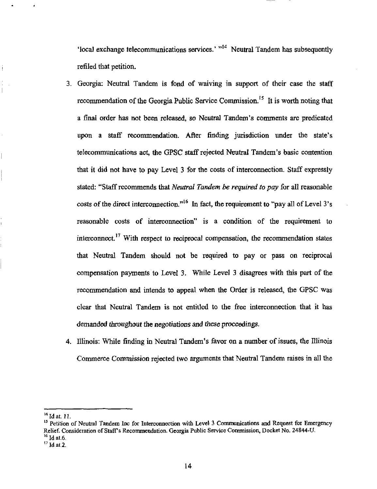'local exchange telecommunications services.'  $"$ <sup>14</sup> Neutral Tandem has subsequently refiled that petition.

- 3. Georgia: Neutral Tandem is fond of waiving in support of their case the staff recommendation of the Georgia Public Service Commission.<sup>15</sup> It is worth noting that a final order has not been released, so Neutral Tandem's comments are predicated upon a staff recommendation. After finding jurisdiction under the state's telecommunications act, the GPSC staff rejected Neutral Tandem's basic contention that it did not have to pay Level 3 for the costs of interconnection. Staff expressly stated: "Staff recommends that Neutral Tandem be required to pay for all reasonable costs of the direct interconnection."<sup>16</sup> In fact, the requirement to "pay all of Level 3's reasonable costs of interconnection" is a condition of the requirement to interconnect.<sup>17</sup> With respect to reciprocal compensation, the recommendation states that Neutral Tandem should not be required to pay or pass on reciprocal compensation payments to Level 3. While Level 3 disagrees with this part of the recommendation and intends to appeal when the Order is released, the GPSC was clear that Neutral Tandem is not entitled to the free interconnection that it has demanded throughout the negotiations and these proceedings,
- 4. Illinois: While finding in Neutral Tandem's favor on a number of issues, the Illinois Commerce Commission rejected two arguments that Neutral Tandem raises in all the

 $^{14}$  Id at. 11.

<sup>&</sup>lt;sup>15</sup> Petition of Neutral Tandem Inc for Interconnection with Level 3 Communications and Request for Emergency Relief. Consideration of Staff's Recommendation. Georgia Public Service Commission, Docket No. 24844-U.  $^{16}$  Id at.6.

 $^{17}$  Id at 2.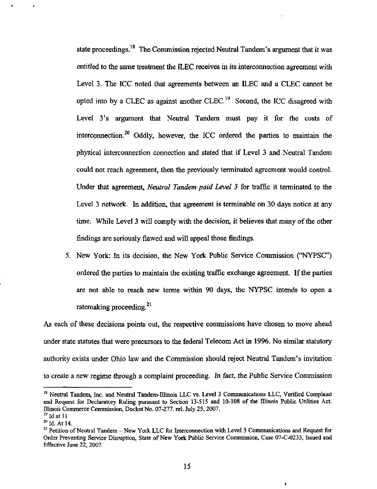state proceedings.<sup>18</sup> The Commission rejected Neutral Tandem's argument that it was entitled to the same treatment the ILEC receives in its interconnection agreement with Level 3. The ICC noted that agreements between an ILEC and a CLEC cannot be opted into by a CLEC as against another CLEC.<sup>19</sup> Second, the ICC disagreed with Level 3's argument that Neutral Tandem must pay it for the costs of interconnection.<sup>20</sup> Oddly, however, the ICC ordered the parties to maintain the physical interconnection connection and stated that if Level 3 and Neutral Tandem could not reach agreement, then the previously temiinated agreement would control. Under that agreement, Neutral Tandem paid Level 3 for traffic it terminated to the Level 3 network. In addition, that agreement is terminable on 30 days notice at any time. While Level 3 will comply with the decision, it believes that many of the other findings are seriously flawed and will appeal those findings.

5. New York: In its decision, the New York Public Service Commission ("NYPSC") ordered the parties to maintain the existing traffic exchange agreement. If the parties are not able to reach new terms within 90 days, the NYPSC intends to open a ratemaking proceeding. $21$ 

As each of these decisions points out, the respective commissions have chosen to move ahead under state statutes that were precursors to the federal Telecom Act in 1996. No similar statutory authority exists under Ohio law and the Commission should reject Neutral Tandem's invitation to create a new regime through a complaint proceeding. In fact, the Public Service Commission

÷

<sup>&</sup>lt;sup>18</sup> Neutral Tandem, Inc. and Neutral Tandem-Illinois LLC vs. Level 3 Communications LLC, Verified Complaint and Request for Declaratory Ruling pursuant to Section 13-515 and 10-108 of the Illinois Public Utilities Act. Illinois Commerce Commission, Docket No. 07-277. rel. July 25, 2007.  $^{19}$  Id at 11

<sup>&</sup>lt;sup>20</sup> Id. At 14.

<sup>&</sup>lt;sup>21</sup> Petition of Neutral Tandem - New York LLC for Interconnection with Level 3 Communications and Request for Order Preventing Service Dismption, State of New York Public Service Commission, Case 07-C-0233, Issued and Effective June 22, 2007.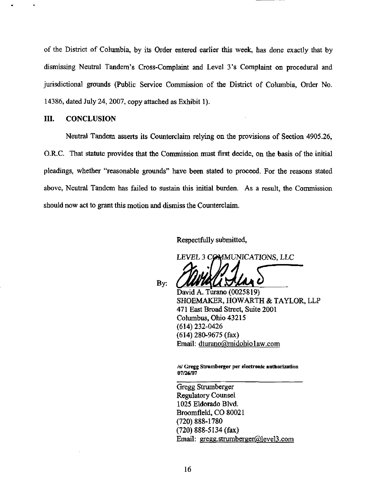of the District of Columbia, by its Order entered earlier this week, has done exactiy that by dismissing Neutral Tandem's Cross-Complaint and Level 3's Complaint on procedural and jurisdictional grounds (Public Service Commission of the District of Columbia, Order No. 14386, dated July 24, 2007, copy attached as Exhibit 1).

## III. CONCLUSION

Neutral Tandem asserts its Counterclaim relying on the provisions of Section 4905.26, O.R.C. That statute provides that the Commission must first decide, on the basis of the initial pleadings, whether "reasonable grounds" have been stated to proceed. For the reasons stated above, Neutral Tandem has failed to sustain this initial burden. As a result, the Commission should now act to grant this motion and dismiss the Counterclaim.

Respectfidly submitted,

LEVEL 3 COMMUNICATIONS, LLC

By:

David A. Turano (0025819) SHOEMAKER, HOWARTH & TAYLOR, LLP

471 East Broad Street, Suite 2001 Columbus, Ohio 43215 (614)232-0426 (614) 280-9675 (fax) Email: dturano@midohio1aw.com

/s/ Gregg Strumberger per electronic authorization 07/26/07

Gregg Strumberger Regulatory Counsel 1025 Eldorado Blvd. Broomfleld, CO 80021 (720)888-1780 (720) 888-5134 (fax) Email: gregg.strumberger@level3.com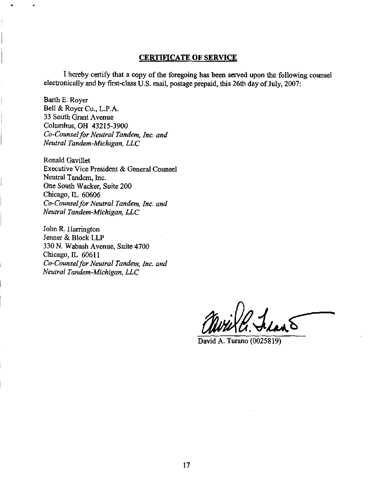## CERTIFICATE OF SERVICE

I hereby certify that a copy of the foregoing has been served upon the following counsel electronically and by first-class U.S. mail, postage prepaid, this 26th day of July, 2007:

Barth E. Royer Bell & Royer Co., L.P.A. 33 South Grant Avenue Columbus, OH 43215-3900 Co-Counsel for Neutral Tandem, Inc. and Neutral Tandem-Michigan, LLC

Ronald Gavillet Executive Vice President & General Counsel Neutral Tandem, Inc. One South Wacker, Suite 200 Chicago, IL 60606 Co-Counsel for Neutral Tandem, Inc. and Neutral Tandem-Michigan, LLC

John R. Harrington Jenner & Block LLP 330 N. Wabash Avenue, Suite 4700 Chicago, IL 60611 Co-Counsel for Neutral Tandem, Inc. and Neutral Tandem-Michigan, LLC

David A. Turano (0025819)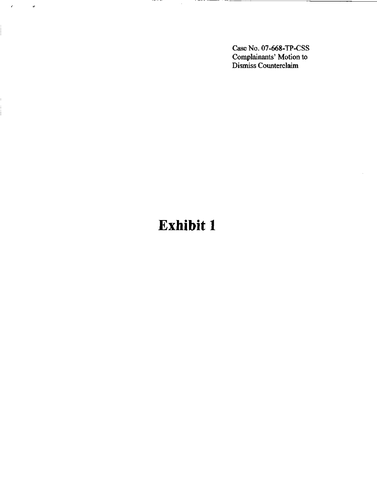CaseNo.07-668-TP-CSS Complainants' Motion to Dismiss Counterclaim

# Exhibit 1

 $\sim$   $\sim$   $\sim$   $\sim$   $\sim$ 

 $\pmb{\epsilon}$ 

ł,

 $\ddot{\nu}$ 

, — , , *, , , , , , ,* ,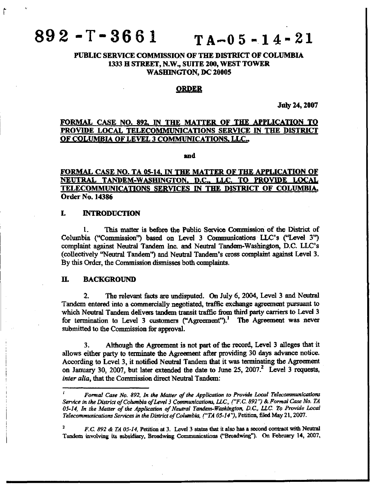# $892 - T - 3661$  TA-05-14-21

# PUBLIC SERVICE COMMISSION OF THE DISTRICT OF COLUMBIA 1333 H STREET, N.W., SUITE 200, WEST TOWER WASHINGTON, DC 20005

### ORDER

July 24,2007

# FORMAL CASE NO. 892, IN THE MATTER OF THE APPLICATION TO PROVIDE LOCAL TELECOMMUNICATIONS SERVICE IN THE DISTRICT OF COLUMBIA OF LEVEL 3 COMMUNICATIONS, LLC.,

and

# FORMAL CASE NO. TA 05-14. IN THE MATTER OF THE APPUCATION OF NEUTRAL TANDEM-WASHINGTON, D.C., LLC. TO PROVIDE LOCAL TELECOMMUNICATIONS SERVICES IN THE DISTRICT OF COLUMBIA, Order No. 14386

### L INTRODUCTION

1. This matter is before the Public Service Commission of the District of Columbia ("Commission") based on Level 3 Communications LLC's ("Level 3") complaint against Neutral Tandem Inc. and Neutral Tandem-Washington, D.C. LLC's (collectively "Neutral Tandem") and Neutral Tandem's cross complaint against Level 3. By this Order, the Commission dismisses both complaints.

### H. BACKGROUND

2. The relevant facts are undisputed. On July 6, 2004, Level 3 and Neutral Tandem entered into a commercially negotiated, traffic exchange agreement pursuant to which Neutral Tandem delivers tandem transit traffic from third party carriers to Level 3 for termination to Level 3 customers ("Agreement").<sup>1</sup> The Agreement was never submitted to the Commission for approval.

3. Although the Agreement is not part of the record. Level 3 alleges that it allows either party to terminate the Agreement after providing 30 days advance notice. According to Level 3, it notified Neutral Tandem that it was terminating the Agreement on January 30, 2007, but later extended the date to June 25, 2007.<sup>2</sup> Level 3 requests, inter alia, that the Commission direct Neutral Tandem:

Formal Case No. 892, In the Matter of the Application to Provide Local Telecommunications Service in the District of Columbia of Level 3 Communications, LLC, ("F.C. 892 "} & Formal Case No. TA 05-14. In the Matter of the Application of Neutral Tandem-Washington, D.C, LLC To Provide Local Telecommunications Services in the District of Columbia. ("TA 05-14'% Petition, filed May 21,2007.

F.C. 892 & TA 05-14, Petition at 3. Level 3 states that it also has a second contract with Neutral Tandem involving its subsidiary, Broadwing Conunimications ("Broadwing"). On February 14, 2007,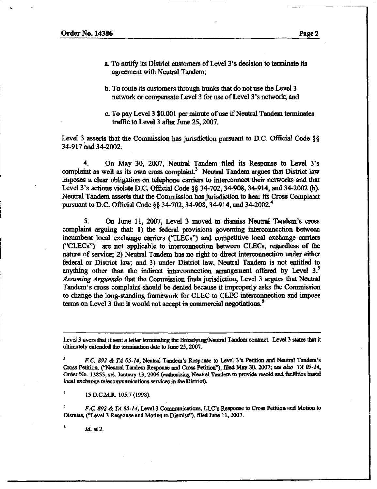- a. To notify its District customers of Level 3's decision to terminate its agreement with Neutral Tandem;
- b. To route its customers through trunks that do not use the Level 3 network or compensate Level 3 for use of Level 3's network; and
- c. To pay Level 3 \$0,001 per minute of use if Neutral Tandem terminates traffic to Level 3 after June 25, 2007.

Level 3 asserts that the Commission has jurisdiction pursuant to D.C. Official Code §§ 34-917 and 34-2002.

4. On May 30, 2007, Neutral Tandem filed its Response to Level 3's complaint as well as its own cross complaint.<sup>3</sup> Neutral Tandem argues that District law imposes a clear obligation on telephone carriers to interconnect their networks and that Level 3's actions violate D.C. Official Code §§ 34-702, 34-908, 34-914, and 34-2002 (h). Neutral Tandem asserts that the Commission has jurisdiction to hear its Cross Complaint pursuant to D.C. Official Code §§ 34-702, 34-908, 34-914, and 34-2002.<sup>4</sup>

5. On June 11, 2007, Level 3 moved to dismiss Neutral Tandem's cross complaint arguing that: 1) the federal provisions governing interconnection between incumbent locd exchange carriers ("ILECs") and competitive local exchange carriers C\*CLECs") are not qyplicable to interconnection between CLECs, regardless of the nature of service; 2) Neutral Tandem has no right to direct interconnection under either federal or District law; and 3) under District law, Neutral Tandem is not entitied to anything other than the indirect interconnection arrangement offered by Level  $3.5$ Assuming Arguendo that the Commission finds jurisdiction. Level 3 argues that Neutral Tandem's cross complaint should be denied because it improperly asks the Commission to change the long-standing framework for CLEC to CLEC interconnection and impose terms on Level 3 that it would not accept in commercial negotiations.<sup>6</sup>

15 D.C.M.R. 105.7 (1998).

F.C. 892 & TA 05-14, Level 3 Communications, LLC's Response to Cross Petition and Motion to Dismiss, ("Level 3 Response and Motion to Dismiss"), filed June 11,2007.

Id. at 2.

Level 3 avers that it sent a letter terminating the Broadwing/Neutral Tandem contract. Level 3 states that it ultimately extended the tramination date to June 25,2007.

F.C. 892 & TA 05-14, Neutral Tandem's Response to Level 3's Petition and Neutral Tandem's Cross Petition, ("Neutral Tandem Response and Cross Petition"), filed May 30, 2007; see also TA 05-14, Order No. 13855, rel. January 13, 2006 (authorizing Neutral Tandem to provide resold and facilities based local exchange telecommunications services in the District).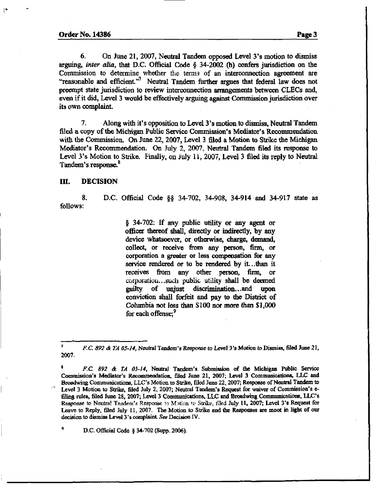6. On June 21, 2007, Neutral Tandem opposed Level 3's motion to dismiss arguing, inter alia, that D.C. Official Code  $§$  34-2002 (h) confers jurisdiction on the Commission to determine whether the terms of an interconnection agreement are "reasonable and efficient."<sup>7</sup> Neutral Tandem further argues that federal law does not preempt state jurisdiction to review interconnection arrangements between CLECs and, even if it did. Level 3 would be effectively arguing against Commission jurisdiction over its own complaint.

7. Along with it's opposition to Level 3's motion to dismiss. Neutral Tandem filed a copy of the Michigan Public Service Commission's Mediator's Recommendation with the Conunission. On June 22, 2007, Level 3 filed a Motion to Strike the Michigan Mediator's Recommendation. On July 2, 2007, Neutral Tandem filed its response to Level 3's Motion to Strike. Finally, on July 11, 2007, Level 3 filed its reply to Neutral Tandem's response.<sup>8</sup>

#### m. DECISION

8. D.C. Official Code §§ 34-702, 34-908, 34-914 and 34-917 state as follows:

> $§$  34-702: If any public utility or any agent or officer thereof shall, directly or indirectly, by any device whatsoever, or otherwise, charge, demand, collect, or receive firom any person, firm, or corporation a greater or less compensation for any service rendered or to be rendered by it...than it receives from any other person, firm, or corporation...such public utility shall be deemed guilty of unjust discrimination.. .and upon conviction shall forfeit and pay to the District of Columbia not less than \$100 nor more than \$1,000 for each offense:<sup>7</sup>

<sup>9</sup> D.C. Official Code  $§$  34-702 (Supp. 2006).

<sup>&</sup>lt;sup>7</sup> F.C. 892 & TA 05-14, Neutral Tandem's Response to Level 3's Motion to Dismiss, filed June 21, 2007.

<sup>\*</sup> F.C. 892 & TA 05-14, Neutral Tandem's Submission of die Michigan Public Service Commission's Mediator's Recommendation, filed June 21, 2007; Level 3 Communications, LLC and Broadwing Communications, LLC's Motion to Strike, filed June 22, 2007; Response of Neutral Tandem to Level 3 Motion to Strike, filed July 2, 2007; Neutral Tandem's Request for waiver of Commission's efiling rules, filed June 28, 2007; Level 3 Communications, LLC and Broadwing Communications, LLC's Response to Neutral Tandem's Response to Mation to Strike, filed July 11, 2007; Level 3's Request for Leave to Reply, filed July 11, 2007. The Motion to Strike and the Responses are moot in light of our decision to dismiss Level 3's complaint See Decision IV.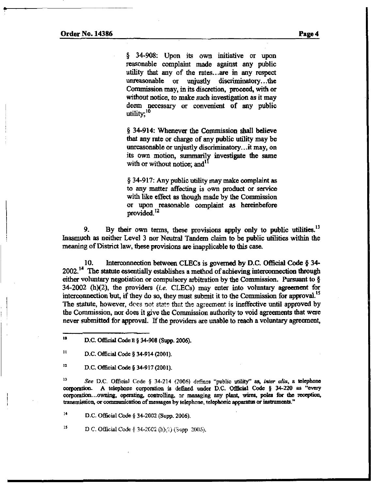§ 34-908: Upon its own initiative or upon reasonable complaint made against any public utility that any of the rates...are in any respect unreasonable or unjustly discriminatory...the Commission may, in its discretion, proceed, with or without notice, to make such investigation as it may deem necessary or convenient of any public utility; $10$ 

§ 34-914: Whenever the Commission shall believe that any rate or charge of any public utility may be unreasonable or unjustly discriminatory...it may, on its own motion, summarily investigate the same with or without notice; and<sup>1</sup>

§ 34-917: Any public utility may make complaint as to any matter affecting is own product or service with like effect as though made by the Commission or upon reasonable complaint as hereinbefore provided. $^{12}$ 

9. By their own terms, these provisions apply only to public utilities.<sup>13</sup> Inasmuch as neither Level 3 nor Neutral Tandem claim to be public utilities within the meaning of District law, these provisions are inapplicable to this case.

10. Interconnection between CLECs is governed by D.C. Official Code § 34-  $2002$ .<sup>14</sup> The statute essentially establishes a method of achieving interconnection through either voluntary negotiation or compulsory arbitration by the Commission. Pursuant to §  $34-2002$  (h)(2), the providers (i.e. CLECs) may enter into voluntary agreement for interconnection but, if they do so, they must submit it to the Commission for approval.<sup>15</sup> The statute, however, dees not state that the agreement is ineffective until approved by the Commission, nor does it give the Commission authority to void agreements that were never submitted for approval. If the providers are tmable to reach a voluntary agreement,

 $^{12}$  D.C. Official Code § 34-917 (2001).

<sup>13</sup> See D.C. Official Code § 34-214 (2006) defines "public utility" as, inter alia, a telephone corporation. A telephone corporatioa is defined under D.C. Official Code § 34-220 as "every corporation...owning, operating, controlling, or managing any plant, wires, poles for the reception, transmission, or communication of messages by telephone, telephonic apparatus or instruments."

'\* D.C. Official Code § 34-2002 (Supp. 2006).

<sup>15</sup> D C. Official Code § 34-2002 (h) $(2)$  (Supp :2006).

<sup>&</sup>lt;sup>10</sup> D.C. Official Code E  $\S$  34-908 (Supp. 2006).

<sup>&</sup>lt;sup>11</sup> D.C. Official Code  $\S$  34-914 (2001).